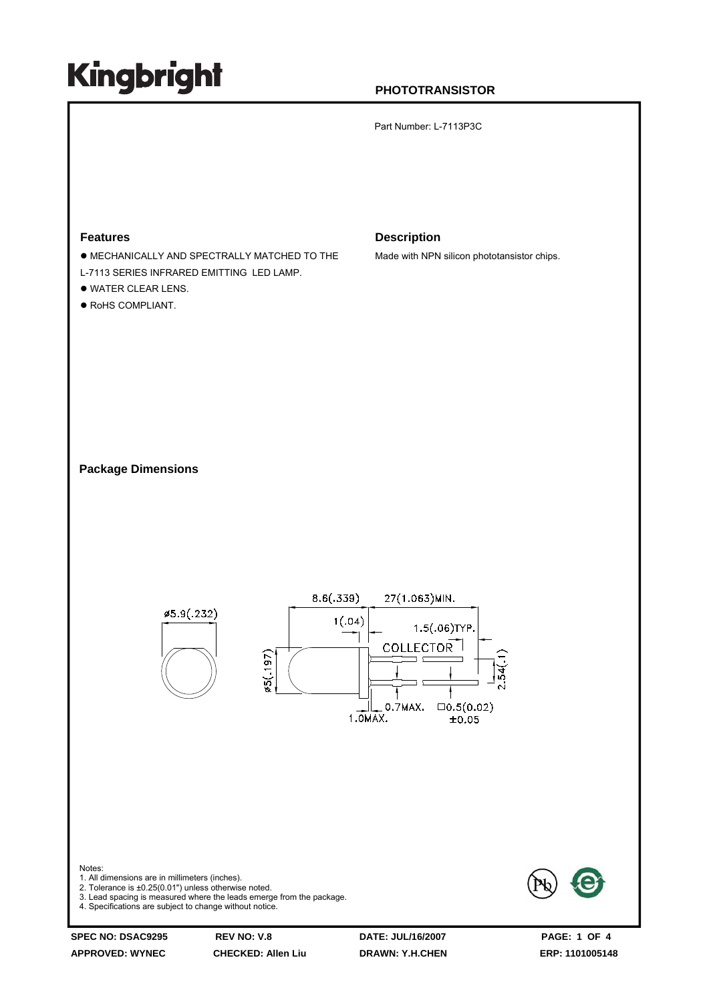#### **PHOTOTRANSISTOR**

Part Number: L-7113P3C

#### **Features**

- $\bullet$  MECHANICALLY AND SPECTRALLY MATCHED TO THE
- L-7113 SERIES INFRARED EMITTING LED LAMP.
- $\bullet$  WATER CLEAR LENS.
- $\bullet$  RoHS COMPLIANT.

#### **Description**

Made with NPN silicon phototansistor chips.

**Package Dimensions**



**APPROVED: WYNEC CHECKED: Allen Liu DRAWN: Y.H.CHEN ERP: 1101005148**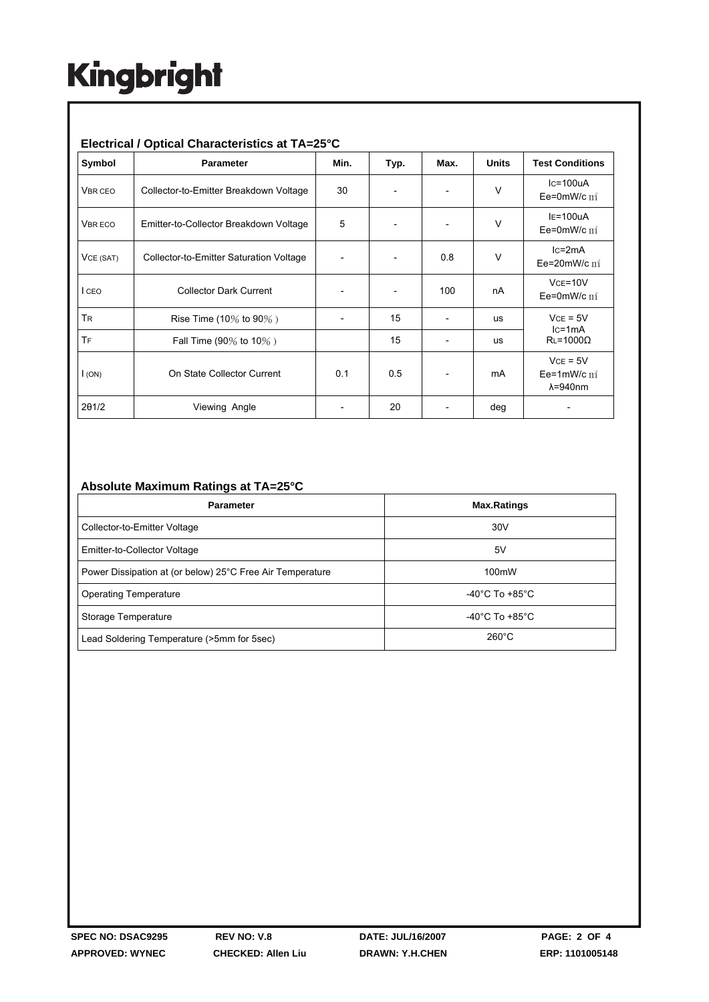#### **Electrical / Optical Characteristics at TA=25°C**

| Symbol         | <b>Parameter</b>                        | Min. | Typ. | Max. | <b>Units</b> | <b>Test Conditions</b>                             |
|----------------|-----------------------------------------|------|------|------|--------------|----------------------------------------------------|
| <b>VBR CEO</b> | Collector-to-Emitter Breakdown Voltage  | 30   |      |      | $\vee$       | $lc = 100uA$<br>Ee=0mW/c $\text{m}^*$              |
| <b>VBR ECO</b> | Emitter-to-Collector Breakdown Voltage  | 5    |      |      | $\vee$       | $IE=100uA$<br>Ee=0mW/c $m^2$                       |
| VCE (SAT)      | Collector-to-Emitter Saturation Voltage |      |      | 0.8  | $\vee$       | $lc = 2mA$<br>Ee=20mW/c $\mathbf{m}^*$             |
| I CEO          | <b>Collector Dark Current</b>           |      |      | 100  | nA           | $Vce = 10V$<br>Ee=0mW/c $\text{m}^*$               |
| <b>TR</b>      | Rise Time (10% to 90%)                  |      | 15   |      | us           | $VCE = 5V$<br>$lc = 1mA$<br>$RL = 1000\Omega$      |
| TF             | Fall Time (90% to 10%)                  |      | 15   |      | us           |                                                    |
| I(ON)          | On State Collector Current              | 0.1  | 0.5  |      | mA           | $VCE = 5V$<br>Ee=1mW/c $m^2$<br>$\lambda = 940$ nm |
| 201/2          | Viewing Angle                           |      | 20   |      | deg          |                                                    |

#### **Absolute Maximum Ratings at TA=25°C**

| <b>Parameter</b>                                          | <b>Max.Ratings</b>                 |  |  |
|-----------------------------------------------------------|------------------------------------|--|--|
| Collector-to-Emitter Voltage                              | 30V                                |  |  |
| Emitter-to-Collector Voltage                              | 5٧                                 |  |  |
| Power Dissipation at (or below) 25°C Free Air Temperature | 100mW                              |  |  |
| <b>Operating Temperature</b>                              | $-40^{\circ}$ C To $+85^{\circ}$ C |  |  |
| Storage Temperature                                       | $-40^{\circ}$ C To $+85^{\circ}$ C |  |  |
| Lead Soldering Temperature (>5mm for 5sec)                | $260^{\circ}$ C                    |  |  |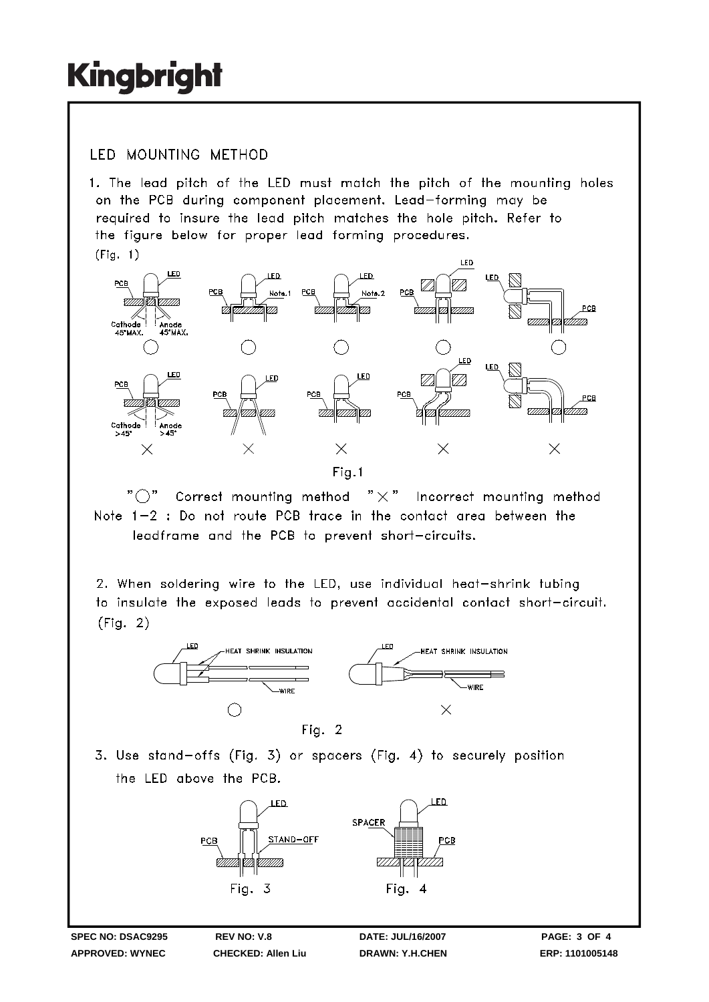### **IFD MOUNTING METHOD**

1. The lead pitch of the LED must match the pitch of the mounting holes on the PCB during component placement. Lead-forming may be required to insure the lead pitch matches the hole pitch. Refer to the figure below for proper lead forming procedures.  $(Fiq. 1)$ 



" ( )" Correct mounting method  $" \times"$  Incorrect mounting method Note 1-2 : Do not route PCB trace in the contact area between the leadframe and the PCB to prevent short-circuits.

2. When soldering wire to the LED, use individual heat-shrink tubing to insulate the exposed leads to prevent accidental contact short-circuit.  $(Fiq. 2)$ 



3. Use stand-offs (Fig. 3) or spacers (Fig. 4) to securely position the LED above the PCB.